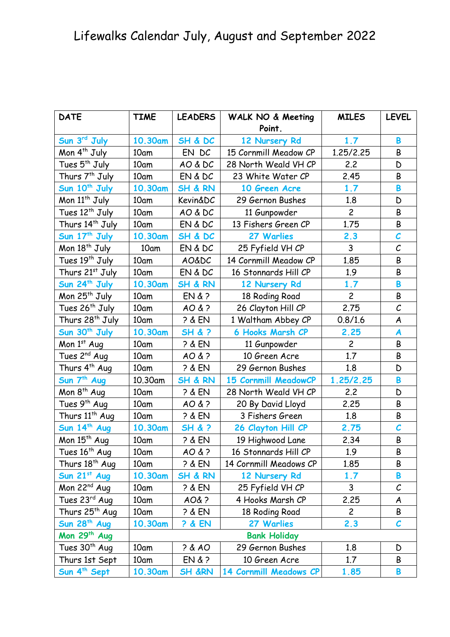| <b>DATE</b>                 | <b>TIME</b> | <b>LEADERS</b>      | WALK NO & Meeting       | <b>MILES</b>   | <b>LEVEL</b>             |  |  |
|-----------------------------|-------------|---------------------|-------------------------|----------------|--------------------------|--|--|
| Sun 3rd July                | 10.30am     | SH & DC             | Point.<br>12 Nursery Rd | 1.7            | B                        |  |  |
| Mon $4^{th}$ July           | 10am        | EN DC               | 15 Cornmill Meadow CP   | 1.25/2.25      | B                        |  |  |
| Tues 5 <sup>th</sup> July   | 10am        | AO & DC             | 28 North Weald VH CP    | 2.2            | D                        |  |  |
| Thurs 7 <sup>th</sup> July  | 10am        | EN & DC             | 23 White Water CP       | 2.45           | B                        |  |  |
| Sun 10 <sup>th</sup> July   | 10.30am     | SH & RN             | 10 Green Acre           | 1.7            | B                        |  |  |
| Mon 11 <sup>th</sup> July   | 10am        | Kevin&DC            | 29 Gernon Bushes        | 1.8            | D                        |  |  |
| Tues 12 <sup>th</sup> July  | 10am        | AO & DC             | 11 Gunpowder            | $\overline{c}$ | B                        |  |  |
| Thurs 14 <sup>th</sup> July | 10am        | EN & DC             | 13 Fishers Green CP     | 1.75           | B                        |  |  |
| Sun 17 <sup>th</sup> July   | 10.30am     | SH & DC             | 27 Warlies              | 2.3            | $\overline{\mathcal{C}}$ |  |  |
| Mon 18 <sup>th</sup> July   | 10am        | EN & DC             | 25 Fyfield VH CP        | 3              | $\mathcal{C}_{0}$        |  |  |
| Tues 19 <sup>th</sup> July  | 10am        | <b>AO&amp;DC</b>    | 14 Cornmill Meadow CP   | 1.85           | B                        |  |  |
| Thurs 21st July             | 10am        | EN & DC             | 16 Stonnards Hill CP    | 1.9            | B                        |  |  |
| Sun 24 <sup>th</sup> July   | 10.30am     | <b>SH &amp; RN</b>  | 12 Nursery Rd           | 1.7            | B                        |  |  |
| Mon 25 <sup>th</sup> July   | 10am        | EN >                | 18 Roding Road          | $\overline{c}$ | B                        |  |  |
| Tues 26 <sup>th</sup> July  | 10am        | AO & ?              | 26 Clayton Hill CP      | 2.75           | $\mathcal{C}_{0}$        |  |  |
| Thurs 28 <sup>th</sup> July | 10am        | $3 &$ EN            | 1 Waltham Abbey CP      | 0.8/1.6        | A                        |  |  |
| Sun 30 <sup>th</sup> July   | 10.30am     | SH & ?              | 6 Hooks Marsh CP        | 2.25           | A                        |  |  |
| Mon 1st Aug                 | 10am        | $3 &$ EN            | 11 Gunpowder            | $\overline{c}$ | B                        |  |  |
| Tues 2 <sup>nd</sup> Aug    | 10am        | AO & ?              | 10 Green Acre           | 1.7            | B                        |  |  |
| Thurs 4 <sup>th</sup> Aug   | 10am        | $3 &$ EN            | 29 Gernon Bushes        | 1.8            | D                        |  |  |
| Sun 7 <sup>th</sup> Aug     | 10.30am     | <b>SH &amp; RN</b>  | 15 Cornmill MeadowCP    | 1.25/2.25      | B                        |  |  |
| Mon 8 <sup>th</sup> Aug     | 10am        | $2 &$ EN            | 28 North Weald VH CP    | 2.2            | D                        |  |  |
| Tues 9 <sup>th</sup> Aug    | 10am        | AO & ?              | 20 By David Lloyd       | 2.25           | B                        |  |  |
| Thurs 11 <sup>th</sup> Aug  | 10am        | $3 &$ EN            | 3 Fishers Green         | 1.8            | B                        |  |  |
| Sun 14 <sup>th</sup> Aug    | 10.30am     | <b>SH &amp; ?</b>   | 26 Clayton Hill CP      | 2.75           | $\mathcal{C}_{0}$        |  |  |
| Mon 15 <sup>th</sup> Aug    | 10am        | $3 &$ EN            | 19 Highwood Lane        | 2.34           | B                        |  |  |
| Tues 16 <sup>th</sup> Aug   | 10am        | AO & ?              | 16 Stonnards Hill CP    | 1.9            | B                        |  |  |
| Thurs 18 <sup>th</sup> Aug  | 10am        | $2 &$ EN            | 14 Cornmill Meadows CP  | 1.85           | B                        |  |  |
| Sun 21st Aug                | 10.30am     | SH & RN             | 12 Nursery Rd           | 1.7            | B                        |  |  |
| Mon $22^{nd}$ Aug           | 10am        | ? & EN              | 25 Fyfield VH CP        | 3              | $\mathcal{C}_{0}$        |  |  |
| Tues 23rd Aug               | 10am        | AO&?                | 4 Hooks Marsh CP        | 2.25           | A                        |  |  |
| Thurs 25 <sup>th</sup> Aug  | 10am        | $2 &$ EN            | 18 Roding Road          | $\overline{c}$ | B                        |  |  |
| Sun 28 <sup>th</sup> Aug    | 10.30am     | <b>? &amp; EN</b>   | 27 Warlies              | 2.3            | $\mathcal C$             |  |  |
| Mon 29 <sup>th</sup> Aug    |             | <b>Bank Holiday</b> |                         |                |                          |  |  |
| Tues 30 <sup>th</sup> Aug   | 10am        | 7&40                | 29 Gernon Bushes        | 1.8            | D                        |  |  |
| Thurs 1st Sept              | 10am        | EN >                | 10 Green Acre           | 1.7            | B                        |  |  |
| Sun 4 <sup>th</sup> Sept    | 10.30am     | <b>SH &amp;RN</b>   | 14 Cornmill Meadows CP  | 1.85           | B                        |  |  |